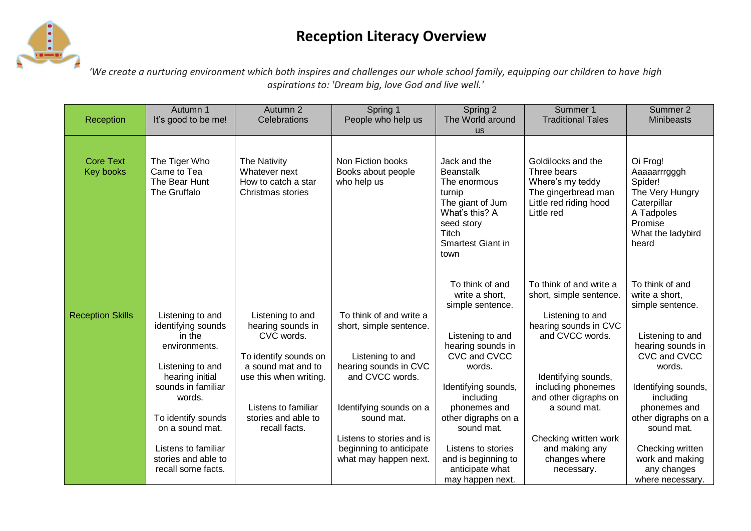# **Reception Literacy Overview**



*'We create a nurturing environment which both inspires and challenges our whole school family, equipping our children to have high aspirations to: 'Dream big, love God and live well.'*

| Reception                     | Autumn 1<br>It's good to be me!                                                                                                                                                   | Autumn 2<br>Celebrations                                                                                                                                                                    | Spring 1<br>People who help us                                                                                                                              | Spring 2<br>The World around                                                                                                                                                                                      | Summer 1<br><b>Traditional Tales</b>                                                                                                                                                                     | Summer 2<br><b>Minibeasts</b>                                                                                                                                                                                     |
|-------------------------------|-----------------------------------------------------------------------------------------------------------------------------------------------------------------------------------|---------------------------------------------------------------------------------------------------------------------------------------------------------------------------------------------|-------------------------------------------------------------------------------------------------------------------------------------------------------------|-------------------------------------------------------------------------------------------------------------------------------------------------------------------------------------------------------------------|----------------------------------------------------------------------------------------------------------------------------------------------------------------------------------------------------------|-------------------------------------------------------------------------------------------------------------------------------------------------------------------------------------------------------------------|
|                               |                                                                                                                                                                                   |                                                                                                                                                                                             |                                                                                                                                                             | <b>US</b>                                                                                                                                                                                                         |                                                                                                                                                                                                          |                                                                                                                                                                                                                   |
| <b>Core Text</b><br>Key books | The Tiger Who<br>Came to Tea<br>The Bear Hunt<br>The Gruffalo                                                                                                                     | The Nativity<br>Whatever next<br>How to catch a star<br>Christmas stories                                                                                                                   | Non Fiction books<br>Books about people<br>who help us                                                                                                      | Jack and the<br><b>Beanstalk</b><br>The enormous<br>turnip<br>The giant of Jum<br>What's this? A<br>seed story<br>Titch<br>Smartest Giant in<br>town                                                              | Goldilocks and the<br>Three bears<br>Where's my teddy<br>The gingerbread man<br>Little red riding hood<br>Little red                                                                                     | Oi Frog!<br>Aaaaarrrgggh<br>Spider!<br>The Very Hungry<br>Caterpillar<br>A Tadpoles<br>Promise<br>What the ladybird<br>heard                                                                                      |
| <b>Reception Skills</b>       | Listening to and<br>identifying sounds<br>in the<br>environments.<br>Listening to and<br>hearing initial<br>sounds in familiar<br>words.<br>To identify sounds<br>on a sound mat. | Listening to and<br>hearing sounds in<br>CVC words.<br>To identify sounds on<br>a sound mat and to<br>use this when writing.<br>Listens to familiar<br>stories and able to<br>recall facts. | To think of and write a<br>short, simple sentence.<br>Listening to and<br>hearing sounds in CVC<br>and CVCC words.<br>Identifying sounds on a<br>sound mat. | To think of and<br>write a short,<br>simple sentence.<br>Listening to and<br>hearing sounds in<br>CVC and CVCC<br>words.<br>Identifying sounds,<br>including<br>phonemes and<br>other digraphs on a<br>sound mat. | To think of and write a<br>short, simple sentence.<br>Listening to and<br>hearing sounds in CVC<br>and CVCC words.<br>Identifying sounds,<br>including phonemes<br>and other digraphs on<br>a sound mat. | To think of and<br>write a short,<br>simple sentence.<br>Listening to and<br>hearing sounds in<br>CVC and CVCC<br>words.<br>Identifying sounds,<br>including<br>phonemes and<br>other digraphs on a<br>sound mat. |
|                               | Listens to familiar<br>stories and able to<br>recall some facts.                                                                                                                  |                                                                                                                                                                                             | Listens to stories and is<br>beginning to anticipate<br>what may happen next.                                                                               | Listens to stories<br>and is beginning to<br>anticipate what<br>may happen next.                                                                                                                                  | Checking written work<br>and making any<br>changes where<br>necessary.                                                                                                                                   | Checking written<br>work and making<br>any changes<br>where necessary.                                                                                                                                            |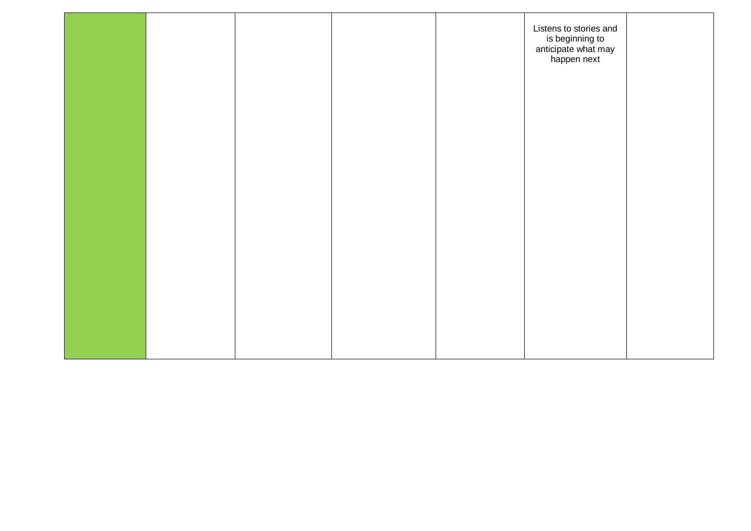|  |  | Listens to stories and<br>is beginning to<br>is beginning to<br>anticipate what may<br>happen next |  |
|--|--|----------------------------------------------------------------------------------------------------|--|
|  |  |                                                                                                    |  |
|  |  |                                                                                                    |  |
|  |  |                                                                                                    |  |
|  |  |                                                                                                    |  |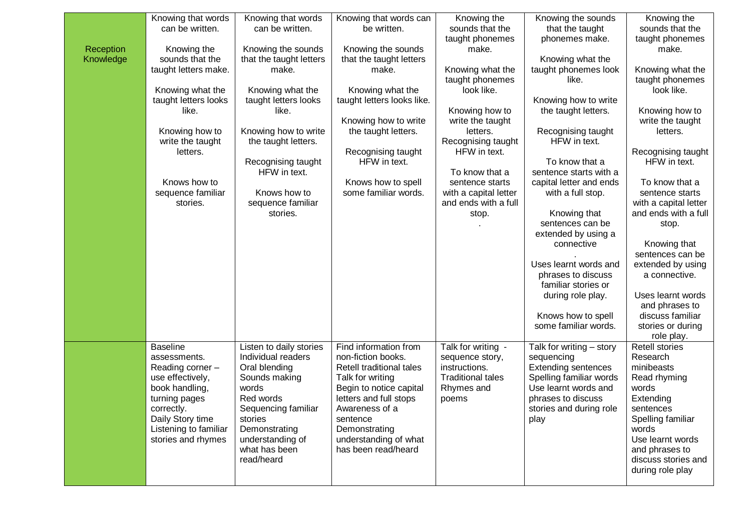|           | Knowing that words    | Knowing that words      | Knowing that words can     | Knowing the              | Knowing the sounds         | Knowing the           |
|-----------|-----------------------|-------------------------|----------------------------|--------------------------|----------------------------|-----------------------|
|           | can be written.       | can be written.         | be written.                | sounds that the          | that the taught            | sounds that the       |
|           |                       |                         |                            | taught phonemes          | phonemes make.             | taught phonemes       |
| Reception | Knowing the           | Knowing the sounds      | Knowing the sounds         | make.                    |                            | make.                 |
| Knowledge | sounds that the       | that the taught letters | that the taught letters    |                          | Knowing what the           |                       |
|           | taught letters make.  | make.                   | make.                      | Knowing what the         | taught phonemes look       | Knowing what the      |
|           |                       |                         |                            | taught phonemes          | like.                      | taught phonemes       |
|           | Knowing what the      | Knowing what the        | Knowing what the           | look like.               |                            | look like.            |
|           | taught letters looks  | taught letters looks    | taught letters looks like. |                          | Knowing how to write       |                       |
|           | like.                 | like.                   |                            | Knowing how to           | the taught letters.        | Knowing how to        |
|           |                       |                         | Knowing how to write       | write the taught         |                            | write the taught      |
|           | Knowing how to        | Knowing how to write    | the taught letters.        | letters.                 | Recognising taught         | letters.              |
|           | write the taught      | the taught letters.     |                            | Recognising taught       | HFW in text.               |                       |
|           | letters.              |                         | Recognising taught         | HFW in text.             |                            | Recognising taught    |
|           |                       | Recognising taught      | HFW in text.               |                          | To know that a             | HFW in text.          |
|           |                       | HFW in text.            |                            | To know that a           | sentence starts with a     |                       |
|           | Knows how to          |                         | Knows how to spell         | sentence starts          | capital letter and ends    | To know that a        |
|           | sequence familiar     | Knows how to            | some familiar words.       | with a capital letter    | with a full stop.          | sentence starts       |
|           | stories.              | sequence familiar       |                            | and ends with a full     |                            | with a capital letter |
|           |                       | stories.                |                            | stop.                    | Knowing that               | and ends with a full  |
|           |                       |                         |                            |                          | sentences can be           | stop.                 |
|           |                       |                         |                            |                          | extended by using a        |                       |
|           |                       |                         |                            |                          | connective                 | Knowing that          |
|           |                       |                         |                            |                          |                            | sentences can be      |
|           |                       |                         |                            |                          |                            |                       |
|           |                       |                         |                            |                          | Uses learnt words and      | extended by using     |
|           |                       |                         |                            |                          | phrases to discuss         | a connective.         |
|           |                       |                         |                            |                          | familiar stories or        |                       |
|           |                       |                         |                            |                          | during role play.          | Uses learnt words     |
|           |                       |                         |                            |                          |                            | and phrases to        |
|           |                       |                         |                            |                          | Knows how to spell         | discuss familiar      |
|           |                       |                         |                            |                          | some familiar words.       | stories or during     |
|           |                       |                         |                            |                          |                            | role play.            |
|           | <b>Baseline</b>       | Listen to daily stories | Find information from      | Talk for writing -       | Talk for writing - story   | <b>Retell stories</b> |
|           | assessments.          | Individual readers      | non-fiction books.         | sequence story,          | sequencing                 | Research              |
|           | Reading corner -      | Oral blending           | Retell traditional tales   | instructions.            | <b>Extending sentences</b> | minibeasts            |
|           | use effectively,      | Sounds making           | Talk for writing           | <b>Traditional tales</b> | Spelling familiar words    | Read rhyming          |
|           | book handling,        | words                   | Begin to notice capital    | Rhymes and               | Use learnt words and       | words                 |
|           | turning pages         | Red words               | letters and full stops     | poems                    | phrases to discuss         | Extending             |
|           | correctly.            | Sequencing familiar     | Awareness of a             |                          | stories and during role    | sentences             |
|           | Daily Story time      | stories                 | sentence                   |                          | play                       | Spelling familiar     |
|           | Listening to familiar | Demonstrating           | Demonstrating              |                          |                            | words                 |
|           | stories and rhymes    | understanding of        | understanding of what      |                          |                            | Use learnt words      |
|           |                       | what has been           | has been read/heard        |                          |                            | and phrases to        |
|           |                       | read/heard              |                            |                          |                            | discuss stories and   |
|           |                       |                         |                            |                          |                            | during role play      |
|           |                       |                         |                            |                          |                            |                       |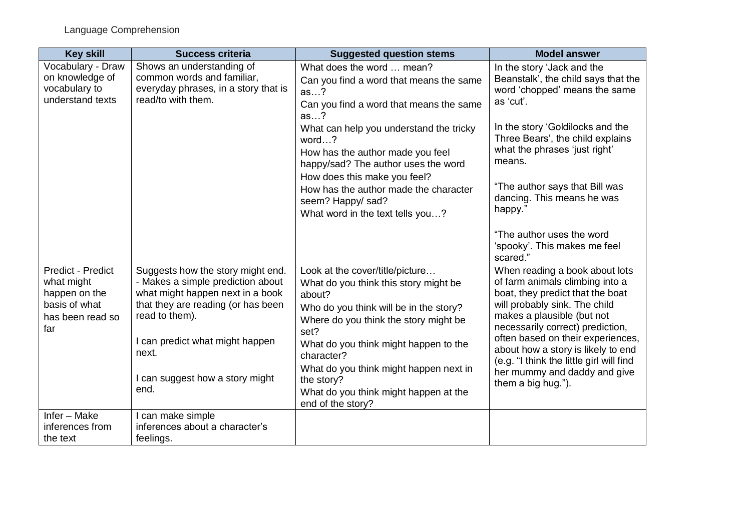| <b>Key skill</b>                                                                                    | <b>Success criteria</b>                                                                                                                                                                                                                                   | <b>Suggested question stems</b>                                                                                                                                                                                                                                                                                                                            | <b>Model answer</b>                                                                                                                                                                                                                                                                                                                                                                   |
|-----------------------------------------------------------------------------------------------------|-----------------------------------------------------------------------------------------------------------------------------------------------------------------------------------------------------------------------------------------------------------|------------------------------------------------------------------------------------------------------------------------------------------------------------------------------------------------------------------------------------------------------------------------------------------------------------------------------------------------------------|---------------------------------------------------------------------------------------------------------------------------------------------------------------------------------------------------------------------------------------------------------------------------------------------------------------------------------------------------------------------------------------|
| Vocabulary - Draw<br>on knowledge of<br>vocabulary to<br>understand texts                           | Shows an understanding of<br>common words and familiar,<br>everyday phrases, in a story that is<br>read/to with them.                                                                                                                                     | What does the word  mean?<br>Can you find a word that means the same<br>as?<br>Can you find a word that means the same<br>as?                                                                                                                                                                                                                              | In the story 'Jack and the<br>Beanstalk', the child says that the<br>word 'chopped' means the same<br>as 'cut'.                                                                                                                                                                                                                                                                       |
|                                                                                                     |                                                                                                                                                                                                                                                           | What can help you understand the tricky<br>word $\ldots$ ?<br>How has the author made you feel<br>happy/sad? The author uses the word                                                                                                                                                                                                                      | In the story 'Goldilocks and the<br>Three Bears', the child explains<br>what the phrases 'just right'<br>means.                                                                                                                                                                                                                                                                       |
|                                                                                                     |                                                                                                                                                                                                                                                           | How does this make you feel?<br>How has the author made the character<br>seem? Happy/ sad?<br>What word in the text tells you?                                                                                                                                                                                                                             | "The author says that Bill was<br>dancing. This means he was<br>happy."                                                                                                                                                                                                                                                                                                               |
|                                                                                                     |                                                                                                                                                                                                                                                           |                                                                                                                                                                                                                                                                                                                                                            | "The author uses the word<br>'spooky'. This makes me feel<br>scared."                                                                                                                                                                                                                                                                                                                 |
| <b>Predict - Predict</b><br>what might<br>happen on the<br>basis of what<br>has been read so<br>far | Suggests how the story might end.<br>- Makes a simple prediction about<br>what might happen next in a book<br>that they are reading (or has been<br>read to them).<br>I can predict what might happen<br>next.<br>I can suggest how a story might<br>end. | Look at the cover/title/picture<br>What do you think this story might be<br>about?<br>Who do you think will be in the story?<br>Where do you think the story might be<br>set?<br>What do you think might happen to the<br>character?<br>What do you think might happen next in<br>the story?<br>What do you think might happen at the<br>end of the story? | When reading a book about lots<br>of farm animals climbing into a<br>boat, they predict that the boat<br>will probably sink. The child<br>makes a plausible (but not<br>necessarily correct) prediction,<br>often based on their experiences,<br>about how a story is likely to end<br>(e.g. "I think the little girl will find<br>her mummy and daddy and give<br>them a big hug."). |
| Infer - Make<br>inferences from<br>the text                                                         | I can make simple<br>inferences about a character's<br>feelings.                                                                                                                                                                                          |                                                                                                                                                                                                                                                                                                                                                            |                                                                                                                                                                                                                                                                                                                                                                                       |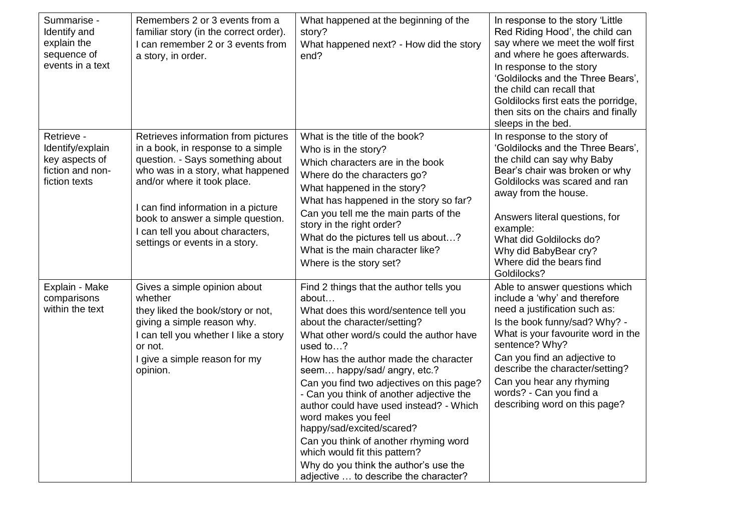| Summarise -<br>Identify and<br>explain the<br>sequence of<br>events in a text         | Remembers 2 or 3 events from a<br>familiar story (in the correct order).<br>I can remember 2 or 3 events from<br>a story, in order.                                                                                                                                                                                                 | What happened at the beginning of the<br>story?<br>What happened next? - How did the story<br>end?                                                                                                                                                                                                                                                                                                                                                                                                                                                                                                            | In response to the story 'Little<br>Red Riding Hood', the child can<br>say where we meet the wolf first<br>and where he goes afterwards.<br>In response to the story<br>'Goldilocks and the Three Bears',<br>the child can recall that<br>Goldilocks first eats the porridge,<br>then sits on the chairs and finally<br>sleeps in the bed.           |
|---------------------------------------------------------------------------------------|-------------------------------------------------------------------------------------------------------------------------------------------------------------------------------------------------------------------------------------------------------------------------------------------------------------------------------------|---------------------------------------------------------------------------------------------------------------------------------------------------------------------------------------------------------------------------------------------------------------------------------------------------------------------------------------------------------------------------------------------------------------------------------------------------------------------------------------------------------------------------------------------------------------------------------------------------------------|------------------------------------------------------------------------------------------------------------------------------------------------------------------------------------------------------------------------------------------------------------------------------------------------------------------------------------------------------|
| Retrieve -<br>Identify/explain<br>key aspects of<br>fiction and non-<br>fiction texts | Retrieves information from pictures<br>in a book, in response to a simple<br>question. - Says something about<br>who was in a story, what happened<br>and/or where it took place.<br>I can find information in a picture<br>book to answer a simple question.<br>I can tell you about characters,<br>settings or events in a story. | What is the title of the book?<br>Who is in the story?<br>Which characters are in the book<br>Where do the characters go?<br>What happened in the story?<br>What has happened in the story so far?<br>Can you tell me the main parts of the<br>story in the right order?<br>What do the pictures tell us about?<br>What is the main character like?<br>Where is the story set?                                                                                                                                                                                                                                | In response to the story of<br>'Goldilocks and the Three Bears',<br>the child can say why Baby<br>Bear's chair was broken or why<br>Goldilocks was scared and ran<br>away from the house.<br>Answers literal questions, for<br>example:<br>What did Goldilocks do?<br>Why did BabyBear cry?<br>Where did the bears find<br>Goldilocks?               |
| Explain - Make<br>comparisons<br>within the text                                      | Gives a simple opinion about<br>whether<br>they liked the book/story or not,<br>giving a simple reason why.<br>I can tell you whether I like a story<br>or not.<br>I give a simple reason for my<br>opinion.                                                                                                                        | Find 2 things that the author tells you<br>about<br>What does this word/sentence tell you<br>about the character/setting?<br>What other word/s could the author have<br>used to?<br>How has the author made the character<br>seem happy/sad/ angry, etc.?<br>Can you find two adjectives on this page?<br>- Can you think of another adjective the<br>author could have used instead? - Which<br>word makes you feel<br>happy/sad/excited/scared?<br>Can you think of another rhyming word<br>which would fit this pattern?<br>Why do you think the author's use the<br>adjective  to describe the character? | Able to answer questions which<br>include a 'why' and therefore<br>need a justification such as:<br>Is the book funny/sad? Why? -<br>What is your favourite word in the<br>sentence? Why?<br>Can you find an adjective to<br>describe the character/setting?<br>Can you hear any rhyming<br>words? - Can you find a<br>describing word on this page? |